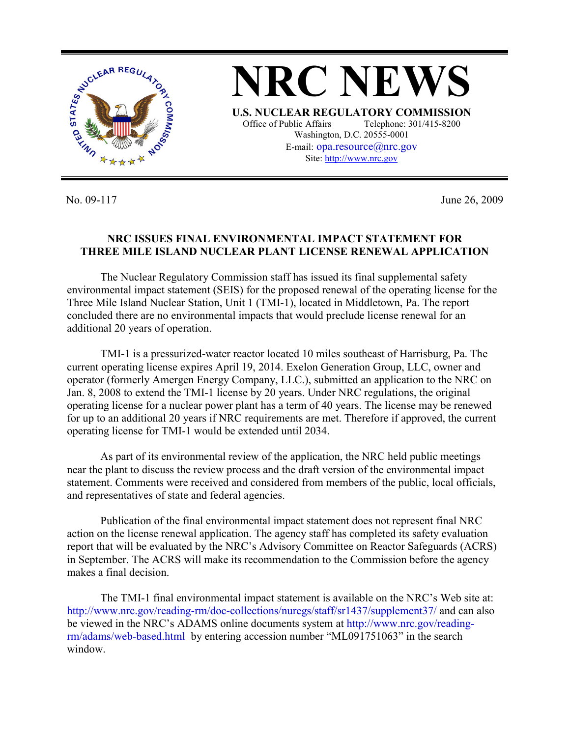

No. 09-117 June 26, 2009

## **NRC ISSUES FINAL ENVIRONMENTAL IMPACT STATEMENT FOR THREE MILE ISLAND NUCLEAR PLANT LICENSE RENEWAL APPLICATION**

 The Nuclear Regulatory Commission staff has issued its final supplemental safety environmental impact statement (SEIS) for the proposed renewal of the operating license for the Three Mile Island Nuclear Station, Unit 1 (TMI-1), located in Middletown, Pa. The report concluded there are no environmental impacts that would preclude license renewal for an additional 20 years of operation.

 TMI-1 is a pressurized-water reactor located 10 miles southeast of Harrisburg, Pa. The current operating license expires April 19, 2014. Exelon Generation Group, LLC, owner and operator (formerly Amergen Energy Company, LLC.), submitted an application to the NRC on Jan. 8, 2008 to extend the TMI-1 license by 20 years. Under NRC regulations, the original operating license for a nuclear power plant has a term of 40 years. The license may be renewed for up to an additional 20 years if NRC requirements are met. Therefore if approved, the current operating license for TMI-1 would be extended until 2034.

 As part of its environmental review of the application, the NRC held public meetings near the plant to discuss the review process and the draft version of the environmental impact statement. Comments were received and considered from members of the public, local officials, and representatives of state and federal agencies.

 Publication of the final environmental impact statement does not represent final NRC action on the license renewal application. The agency staff has completed its safety evaluation report that will be evaluated by the NRC's Advisory Committee on Reactor Safeguards (ACRS) in September. The ACRS will make its recommendation to the Commission before the agency makes a final decision.

 The TMI-1 final environmental impact statement is available on the NRC's Web site at: http://www.nrc.gov/reading-rm/doc-collections/nuregs/staff/sr1437/supplement37/ and can also be viewed in the NRC's ADAMS online documents system at http://www.nrc.gov/readingrm/adams/web-based.html by entering accession number "ML091751063" in the search window.